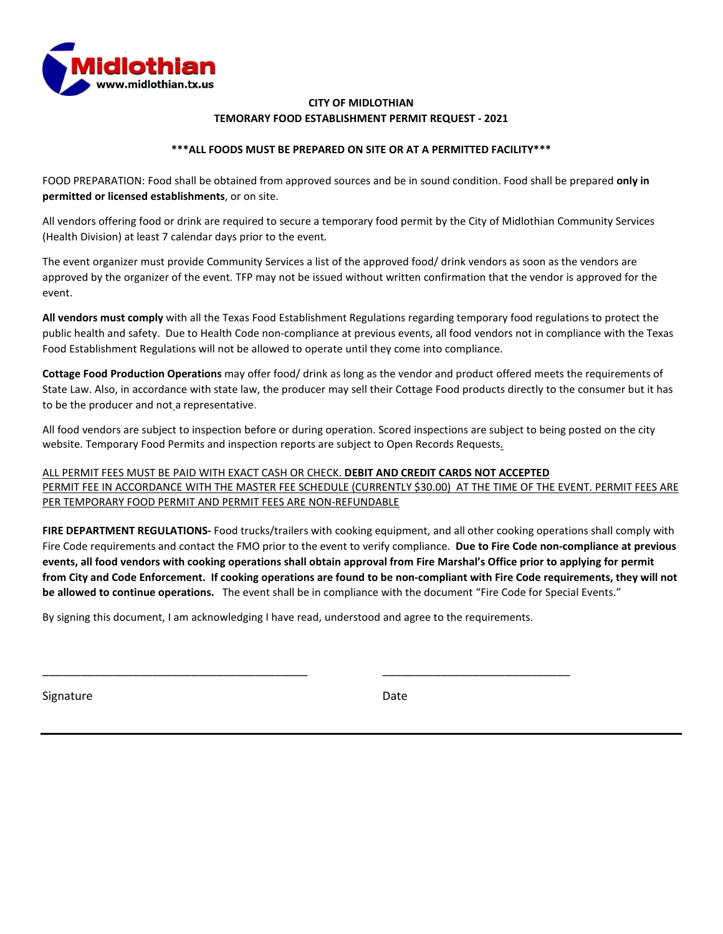

### **CITY OF MIDLOTHIAN TEMORARY FOOD ESTABLISHMENT PERMIT REQUEST - 2021**

### **\*\*\*ALL FOODS MUST BE PREPARED ON SITE OR AT A PERMITTED FACILITY\*\*\***

FOOD PREPARATION: Food shall be obtained from approved sources and be in sound condition. Food shall be prepared **only in permitted or licensed establishments**, or on site.

All vendors offering food or drink are required to secure a temporary food permit by the City of Midlothian Community Services (Health Division) at least 7 calendar days prior to the event*.* 

The event organizer must provide Community Services a list of the approved food/ drink vendors as soon as the vendors are approved by the organizer of the event*.* TFP may not be issued without written confirmation that the vendor is approved for the event.

**All vendors must comply** with all the Texas Food Establishment Regulations regarding temporary food regulations to protect the public health and safety. Due to Health Code non-compliance at previous events, all food vendors not in compliance with the Texas Food Establishment Regulations will not be allowed to operate until they come into compliance.

**Cottage Food Production Operations** may offer food/ drink as long as the vendor and product offered meets the requirements of State Law. Also, in accordance with state law, the producer may sell their Cottage Food products directly to the consumer but it has to be the producer and not a representative.

All food vendors are subject to inspection before or during operation. Scored inspections are subject to being posted on the city website. Temporary Food Permits and inspection reports are subject to Open Records Requests.

ALL PERMIT FEES MUST BE PAID WITH EXACT CASH OR CHECK. **DEBIT AND CREDIT CARDS NOT ACCEPTED** PERMIT FEE IN ACCORDANCE WITH THE MASTER FEE SCHEDULE (CURRENTLY \$30.00) AT THE TIME OF THE EVENT. PERMIT FEES ARE PER TEMPORARY FOOD PERMIT AND PERMIT FEES ARE NON-REFUNDABLE

**FIRE DEPARTMENT REGULATIONS-** Food trucks/trailers with cooking equipment, and all other cooking operations shall comply with Fire Code requirements and contact the FMO prior to the event to verify compliance. **Due to Fire Code non-compliance at previous events, all food vendors with cooking operations shall obtain approval from Fire Marshal's Office prior to applying for permit from City and Code Enforcement. If cooking operations are found to be non-compliant with Fire Code requirements, they will not be allowed to continue operations.** The event shall be in compliance with the document "Fire Code for Special Events."

By signing this document, I am acknowledging I have read, understood and agree to the requirements.

\_\_\_\_\_\_\_\_\_\_\_\_\_\_\_\_\_\_\_\_\_\_\_\_\_\_\_\_\_\_\_\_\_\_\_\_\_\_\_\_\_ \_\_\_\_\_\_\_\_\_\_\_\_\_\_\_\_\_\_\_\_\_\_\_\_\_\_\_\_\_

Signature Date Date Date Date Date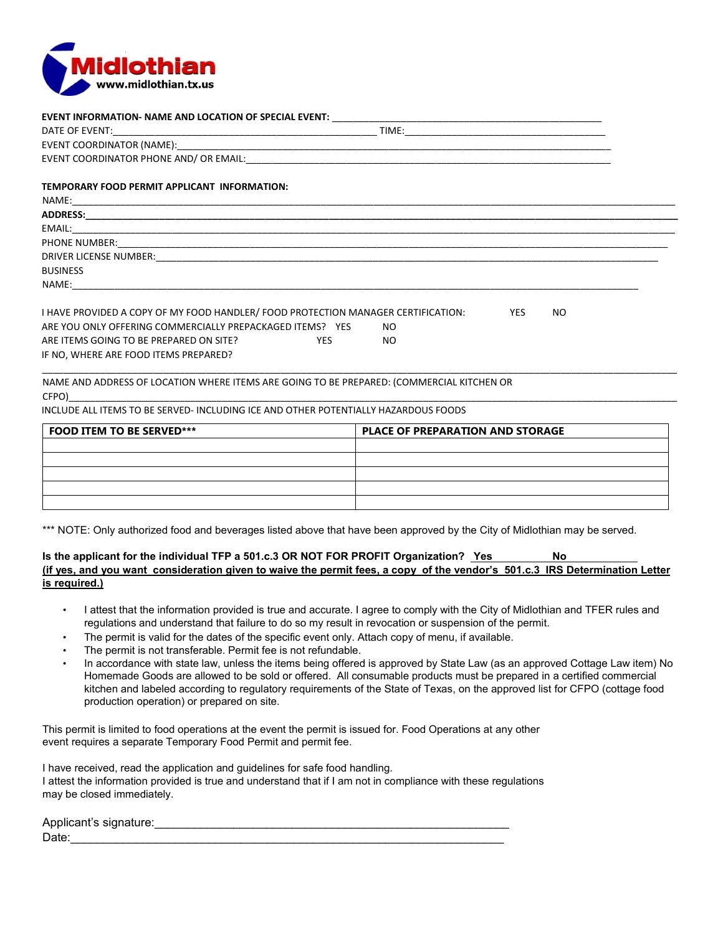

**EVENT INFORMATION- NAME AND LOCATION OF SPECIAL EVENT:** \_\_\_\_\_\_\_\_\_\_\_\_\_\_\_\_\_\_\_\_\_\_\_\_\_\_\_\_\_\_\_\_\_\_\_\_\_\_\_\_\_\_\_\_\_\_\_\_\_\_\_

| TEMPORARY FOOD PERMIT APPLICANT INFORMATION:                                                                                                                                                                                                         |                                         |
|------------------------------------------------------------------------------------------------------------------------------------------------------------------------------------------------------------------------------------------------------|-----------------------------------------|
|                                                                                                                                                                                                                                                      |                                         |
|                                                                                                                                                                                                                                                      |                                         |
|                                                                                                                                                                                                                                                      |                                         |
|                                                                                                                                                                                                                                                      |                                         |
|                                                                                                                                                                                                                                                      |                                         |
| <b>BUSINESS</b>                                                                                                                                                                                                                                      |                                         |
|                                                                                                                                                                                                                                                      |                                         |
| I HAVE PROVIDED A COPY OF MY FOOD HANDLER/ FOOD PROTECTION MANAGER CERTIFICATION: YES<br>ARE YOU ONLY OFFERING COMMERCIALLY PREPACKAGED ITEMS? YES<br>ARE ITEMS GOING TO BE PREPARED ON SITE?<br><b>YES</b><br>IF NO, WHERE ARE FOOD ITEMS PREPARED? | <b>NO</b><br>NO.<br>NO.                 |
| NAME AND ADDRESS OF LOCATION WHERE ITEMS ARE GOING TO BE PREPARED: (COMMERCIAL KITCHEN OR                                                                                                                                                            |                                         |
| INCLUDE ALL ITEMS TO BE SERVED- INCLUDING ICE AND OTHER POTENTIALLY HAZARDOUS FOODS                                                                                                                                                                  |                                         |
| <b>FOOD ITEM TO BE SERVED***</b>                                                                                                                                                                                                                     | <b>PLACE OF PREPARATION AND STORAGE</b> |
|                                                                                                                                                                                                                                                      |                                         |
|                                                                                                                                                                                                                                                      |                                         |
|                                                                                                                                                                                                                                                      |                                         |

\*\*\* NOTE: Only authorized food and beverages listed above that have been approved by the City of Midlothian may be served.

#### **Is the applicant for the individual TFP a 501.c.3 OR NOT FOR PROFIT Organization? Yes No (if yes, and you want consideration given to waive the permit fees, a copy of the vendor's 501.c.3 IRS Determination Letter is required.)**

- I attest that the information provided is true and accurate. I agree to comply with the City of Midlothian and TFER rules and regulations and understand that failure to do so my result in revocation or suspension of the permit.
- The permit is valid for the dates of the specific event only. Attach copy of menu, if available.
- The permit is not transferable. Permit fee is not refundable.
- In accordance with state law, unless the items being offered is approved by State Law (as an approved Cottage Law item) No Homemade Goods are allowed to be sold or offered. All consumable products must be prepared in a certified commercial kitchen and labeled according to regulatory requirements of the State of Texas, on the approved list for CFPO (cottage food production operation) or prepared on site.

This permit is limited to food operations at the event the permit is issued for. Food Operations at any other event requires a separate Temporary Food Permit and permit fee.

I have received, read the application and guidelines for safe food handling. I attest the information provided is true and understand that if I am not in compliance with these regulations may be closed immediately.

Applicant's signature:\_\_\_\_\_\_\_\_\_\_\_\_\_\_\_\_\_\_\_\_\_\_\_\_\_\_\_\_\_\_\_\_\_\_\_\_\_\_\_\_\_\_\_\_\_\_\_\_\_\_\_\_\_\_ Date:\_\_\_\_\_\_\_\_\_\_\_\_\_\_\_\_\_\_\_\_\_\_\_\_\_\_\_\_\_\_\_\_\_\_\_\_\_\_\_\_\_\_\_\_\_\_\_\_\_\_\_\_\_\_\_\_\_\_\_\_\_\_\_\_\_\_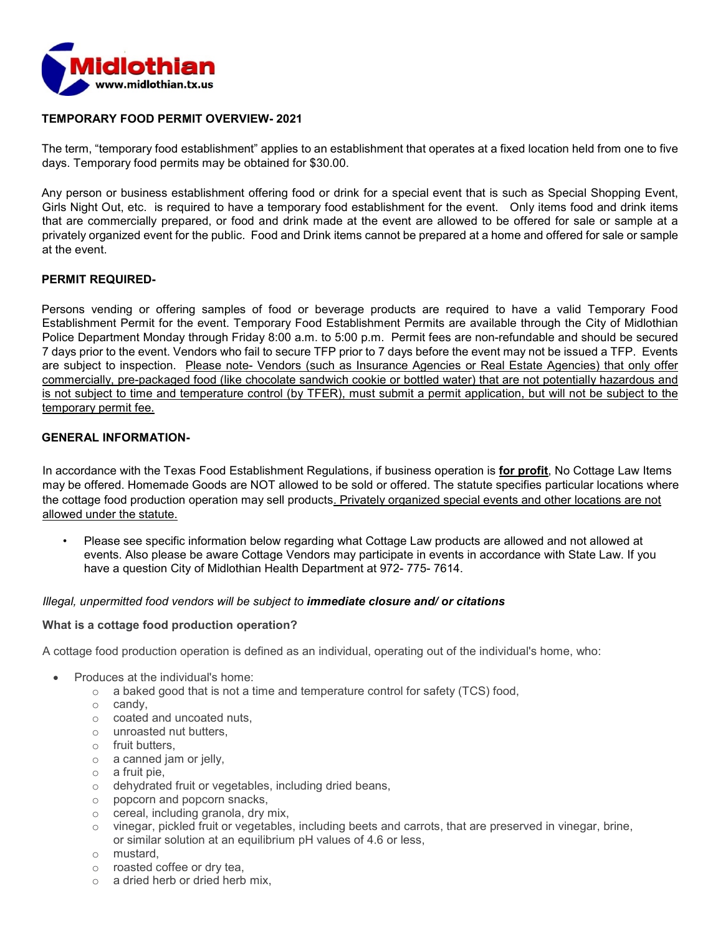

## **TEMPORARY FOOD PERMIT OVERVIEW- 2021**

The term, "temporary food establishment" applies to an establishment that operates at a fixed location held from one to five days. Temporary food permits may be obtained for \$30.00.

Any person or business establishment offering food or drink for a special event that is such as Special Shopping Event, Girls Night Out, etc. is required to have a temporary food establishment for the event. Only items food and drink items that are commercially prepared, or food and drink made at the event are allowed to be offered for sale or sample at a privately organized event for the public. Food and Drink items cannot be prepared at a home and offered for sale or sample at the event.

## **PERMIT REQUIRED-**

Persons vending or offering samples of food or beverage products are required to have a valid Temporary Food Establishment Permit for the event. Temporary Food Establishment Permits are available through the City of Midlothian Police Department Monday through Friday 8:00 a.m. to 5:00 p.m. Permit fees are non-refundable and should be secured 7 days prior to the event. Vendors who fail to secure TFP prior to 7 days before the event may not be issued a TFP. Events are subject to inspection. Please note- Vendors (such as Insurance Agencies or Real Estate Agencies) that only offer commercially, pre-packaged food (like chocolate sandwich cookie or bottled water) that are not potentially hazardous and is not subject to time and temperature control (by TFER), must submit a permit application, but will not be subject to the temporary permit fee.

## **GENERAL INFORMATION-**

In accordance with the Texas Food Establishment Regulations, if business operation is **for profit**, No Cottage Law Items may be offered. Homemade Goods are NOT allowed to be sold or offered. The statute specifies particular locations where the cottage food production operation may sell products. Privately organized special events and other locations are not allowed under the statute.

• Please see specific information below regarding what Cottage Law products are allowed and not allowed at events. Also please be aware Cottage Vendors may participate in events in accordance with State Law. If you have a question City of Midlothian Health Department at 972- 775- 7614.

### *Illegal, unpermitted food vendors will be subject to immediate closure and/ or citations*

### **What is a cottage food production operation?**

A cottage food production operation is defined as an individual, operating out of the individual's home, who:

- Produces at the individual's home:
	- $\circ$  a baked good that is not a time and temperature control for safety (TCS) food,
	- o candy,
	- o coated and uncoated nuts,
	- o unroasted nut butters,
	- o fruit butters,
	- o a canned jam or jelly,
	- o a fruit pie,
	- o dehydrated fruit or vegetables, including dried beans,
	- o popcorn and popcorn snacks,
	- o cereal, including granola, dry mix,
	- $\circ$  vinegar, pickled fruit or vegetables, including beets and carrots, that are preserved in vinegar, brine, or similar solution at an equilibrium pH values of 4.6 or less,
	- o mustard,
	- o roasted coffee or dry tea,
	- $\circ$  a dried herb or dried herb mix,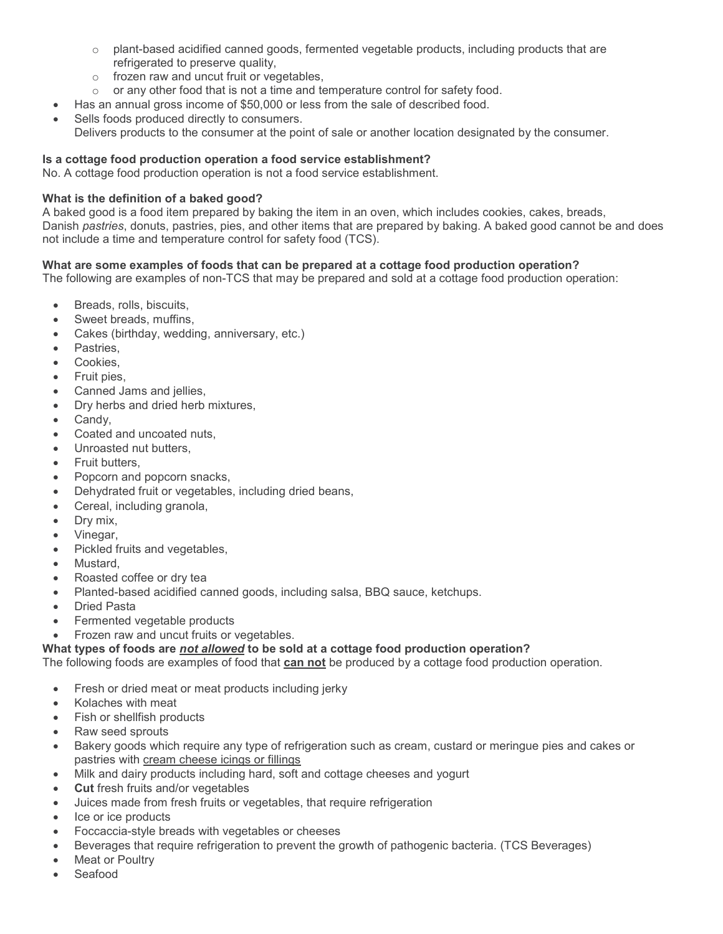- $\circ$  plant-based acidified canned goods, fermented vegetable products, including products that are refrigerated to preserve quality.
- o frozen raw and uncut fruit or vegetables,
- $\circ$  or any other food that is not a time and temperature control for safety food.
- Has an annual gross income of \$50,000 or less from the sale of described food.
- Sells foods produced directly to consumers. Delivers products to the consumer at the point of sale or another location designated by the consumer.

## **Is a cottage food production operation a food service establishment?**

No. A cottage food production operation is not a food service establishment.

## **What is the definition of a baked good?**

A baked good is a food item prepared by baking the item in an oven, which includes cookies, cakes, breads, Danish *pastries*, donuts, pastries, pies, and other items that are prepared by baking. A baked good cannot be and does not include a time and temperature control for safety food (TCS).

## **What are some examples of foods that can be prepared at a cottage food production operation?**

The following are examples of non-TCS that may be prepared and sold at a cottage food production operation:

- Breads, rolls, biscuits,
- Sweet breads, muffins,
- Cakes (birthday, wedding, anniversary, etc.)
- Pastries.
- Cookies,
- Fruit pies,
- Canned Jams and jellies,
- Dry herbs and dried herb mixtures.
- Candy.
- Coated and uncoated nuts,
- Unroasted nut butters,
- Fruit butters.
- Popcorn and popcorn snacks,
- Dehydrated fruit or vegetables, including dried beans,
- Cereal, including granola,
- Dry mix,
- Vinegar,
- Pickled fruits and vegetables,
- Mustard,
- Roasted coffee or dry tea
- Planted-based acidified canned goods, including salsa, BBQ sauce, ketchups.
- Dried Pasta
- Fermented vegetable products
- Frozen raw and uncut fruits or vegetables.

# **What types of foods are** *not allowed* **to be sold at a cottage food production operation?**

The following foods are examples of food that **can not** be produced by a cottage food production operation.

- Fresh or dried meat or meat products including jerky
- Kolaches with meat
- Fish or shellfish products
- Raw seed sprouts
- Bakery goods which require any type of refrigeration such as cream, custard or meringue pies and cakes or pastries with cream cheese icings or fillings
- Milk and dairy products including hard, soft and cottage cheeses and yogurt
- **Cut** fresh fruits and/or vegetables
- Juices made from fresh fruits or vegetables, that require refrigeration
- Ice or ice products
- Foccaccia-style breads with vegetables or cheeses
- Beverages that require refrigeration to prevent the growth of pathogenic bacteria. (TCS Beverages)
- **Meat or Poultry**
- Seafood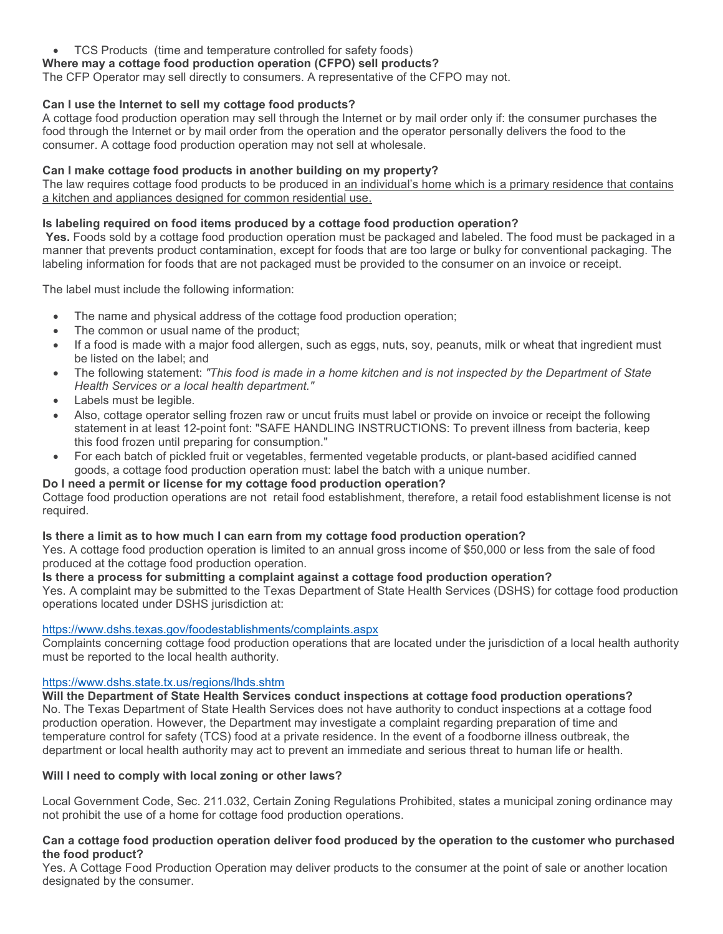• TCS Products (time and temperature controlled for safety foods)

## **Where may a cottage food production operation (CFPO) sell products?**

The CFP Operator may sell directly to consumers. A representative of the CFPO may not.

## **Can I use the Internet to sell my cottage food products?**

A cottage food production operation may sell through the Internet or by mail order only if: the consumer purchases the food through the Internet or by mail order from the operation and the operator personally delivers the food to the consumer. A cottage food production operation may not sell at wholesale.

## **Can I make cottage food products in another building on my property?**

The law requires cottage food products to be produced in an individual's home which is a primary residence that contains a kitchen and appliances designed for common residential use.

### **Is labeling required on food items produced by a cottage food production operation?**

**Yes.** Foods sold by a cottage food production operation must be packaged and labeled. The food must be packaged in a manner that prevents product contamination, except for foods that are too large or bulky for conventional packaging. The labeling information for foods that are not packaged must be provided to the consumer on an invoice or receipt.

The label must include the following information:

- The name and physical address of the cottage food production operation;
- The common or usual name of the product;
- If a food is made with a major food allergen, such as eggs, nuts, soy, peanuts, milk or wheat that ingredient must be listed on the label; and
- The following statement: *"This food is made in a home kitchen and is not inspected by the Department of State Health Services or a local health department."*
- Labels must be legible.
- Also, cottage operator selling frozen raw or uncut fruits must label or provide on invoice or receipt the following statement in at least 12-point font: "SAFE HANDLING INSTRUCTIONS: To prevent illness from bacteria, keep this food frozen until preparing for consumption."
- For each batch of pickled fruit or vegetables, fermented vegetable products, or plant-based acidified canned goods, a cottage food production operation must: label the batch with a unique number.

### **Do I need a permit or license for my cottage food production operation?**

Cottage food production operations are not retail food establishment, therefore, a retail food establishment license is not required.

### **Is there a limit as to how much I can earn from my cottage food production operation?**

Yes. A cottage food production operation is limited to an annual gross income of \$50,000 or less from the sale of food produced at the cottage food production operation.

## **Is there a process for submitting a complaint against a cottage food production operation?**

Yes. A complaint may be submitted to the Texas Department of State Health Services (DSHS) for cottage food production operations located under DSHS jurisdiction at:

### <https://www.dshs.texas.gov/foodestablishments/complaints.aspx>

Complaints concerning cottage food production operations that are located under the jurisdiction of a local health authority must be reported to the local health authority.

### <https://www.dshs.state.tx.us/regions/lhds.shtm>

**Will the Department of State Health Services conduct inspections at cottage food production operations?** No. The Texas Department of State Health Services does not have authority to conduct inspections at a cottage food production operation. However, the Department may investigate a complaint regarding preparation of time and temperature control for safety (TCS) food at a private residence. In the event of a foodborne illness outbreak, the department or local health authority may act to prevent an immediate and serious threat to human life or health.

## **Will I need to comply with local zoning or other laws?**

Local Government Code, Sec. 211.032, Certain Zoning Regulations Prohibited, states a municipal zoning ordinance may not prohibit the use of a home for cottage food production operations.

### **Can a cottage food production operation deliver food produced by the operation to the customer who purchased the food product?**

Yes. A Cottage Food Production Operation may deliver products to the consumer at the point of sale or another location designated by the consumer.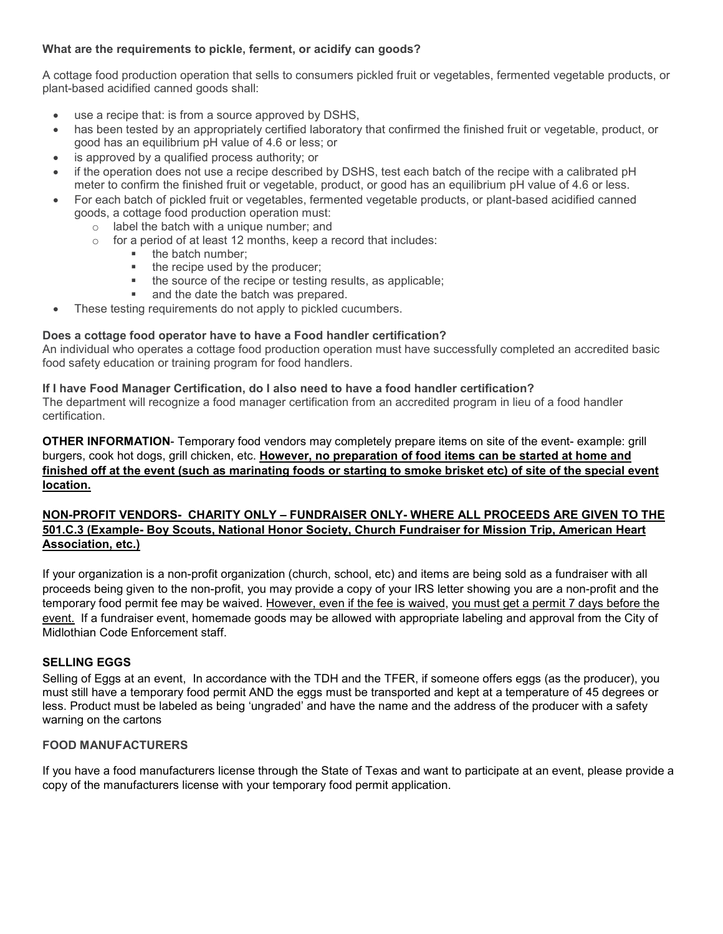## **What are the requirements to pickle, ferment, or acidify can goods?**

A cottage food production operation that sells to consumers pickled fruit or vegetables, fermented vegetable products, or plant-based acidified canned goods shall:

- use a recipe that: is from a source approved by DSHS,
- has been tested by an appropriately certified laboratory that confirmed the finished fruit or vegetable, product, or good has an equilibrium pH value of 4.6 or less; or
- is approved by a qualified process authority; or
- if the operation does not use a recipe described by DSHS, test each batch of the recipe with a calibrated pH meter to confirm the finished fruit or vegetable, product, or good has an equilibrium pH value of 4.6 or less.
- For each batch of pickled fruit or vegetables, fermented vegetable products, or plant-based acidified canned goods, a cottage food production operation must:
	- o label the batch with a unique number; and
	- $\circ$  for a period of at least 12 months, keep a record that includes:
		- $\blacksquare$  the batch number;<br> $\blacksquare$  the recine used by
		- the recipe used by the producer;
		- $\bullet$  the source of the recipe or testing results, as applicable;<br> $\bullet$  and the data the batch was prepared
		- and the date the batch was prepared.
- These testing requirements do not apply to pickled cucumbers.

## **Does a cottage food operator have to have a Food handler certification?**

An individual who operates a cottage food production operation must have successfully completed an accredited basic food safety education or training program for food handlers.

### **If I have Food Manager Certification, do I also need to have a food handler certification?**

The department will recognize a food manager certification from an accredited program in lieu of a food handler certification.

**OTHER INFORMATION**- Temporary food vendors may completely prepare items on site of the event- example: grill burgers, cook hot dogs, grill chicken, etc. **However, no preparation of food items can be started at home and finished off at the event (such as marinating foods or starting to smoke brisket etc) of site of the special event location.**

## **NON-PROFIT VENDORS- CHARITY ONLY – FUNDRAISER ONLY- WHERE ALL PROCEEDS ARE GIVEN TO THE 501.C.3 (Example- Boy Scouts, National Honor Society, Church Fundraiser for Mission Trip, American Heart Association, etc.)**

If your organization is a non-profit organization (church, school, etc) and items are being sold as a fundraiser with all proceeds being given to the non-profit, you may provide a copy of your IRS letter showing you are a non-profit and the temporary food permit fee may be waived. However, even if the fee is waived, you must get a permit 7 days before the event. If a fundraiser event, homemade goods may be allowed with appropriate labeling and approval from the City of Midlothian Code Enforcement staff.

## **SELLING EGGS**

Selling of Eggs at an event, In accordance with the TDH and the TFER, if someone offers eggs (as the producer), you must still have a temporary food permit AND the eggs must be transported and kept at a temperature of 45 degrees or less. Product must be labeled as being 'ungraded' and have the name and the address of the producer with a safety warning on the cartons

### **FOOD MANUFACTURERS**

If you have a food manufacturers license through the State of Texas and want to participate at an event, please provide a copy of the manufacturers license with your temporary food permit application.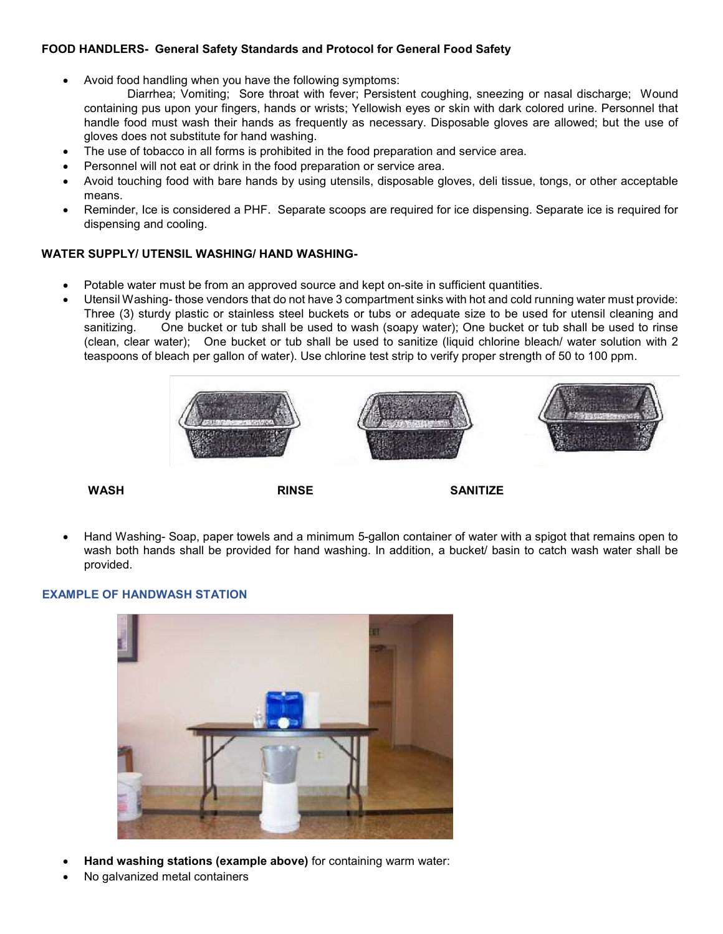# **FOOD HANDLERS- General Safety Standards and Protocol for General Food Safety**

• Avoid food handling when you have the following symptoms:

Diarrhea; Vomiting; Sore throat with fever; Persistent coughing, sneezing or nasal discharge; Wound containing pus upon your fingers, hands or wrists; Yellowish eyes or skin with dark colored urine. Personnel that handle food must wash their hands as frequently as necessary. Disposable gloves are allowed; but the use of gloves does not substitute for hand washing.

- The use of tobacco in all forms is prohibited in the food preparation and service area.
- Personnel will not eat or drink in the food preparation or service area.
- Avoid touching food with bare hands by using utensils, disposable gloves, deli tissue, tongs, or other acceptable means.
- Reminder, Ice is considered a PHF. Separate scoops are required for ice dispensing. Separate ice is required for dispensing and cooling.

# **WATER SUPPLY/ UTENSIL WASHING/ HAND WASHING-**

- Potable water must be from an approved source and kept on-site in sufficient quantities.
- Utensil Washing- those vendors that do not have 3 compartment sinks with hot and cold running water must provide: Three (3) sturdy plastic or stainless steel buckets or tubs or adequate size to be used for utensil cleaning and sanitizing. One bucket or tub shall be used to wash (soapy water); One bucket or tub shall be used to rinse (clean, clear water); One bucket or tub shall be used to sanitize (liquid chlorine bleach/ water solution with 2 teaspoons of bleach per gallon of water). Use chlorine test strip to verify proper strength of 50 to 100 ppm.



 **WASH RINSE SANITIZE** 

• Hand Washing- Soap, paper towels and a minimum 5-gallon container of water with a spigot that remains open to wash both hands shall be provided for hand washing. In addition, a bucket/ basin to catch wash water shall be provided.

# **EXAMPLE OF HANDWASH STATION**



- **Hand washing stations (example above)** for containing warm water:
- No galvanized metal containers